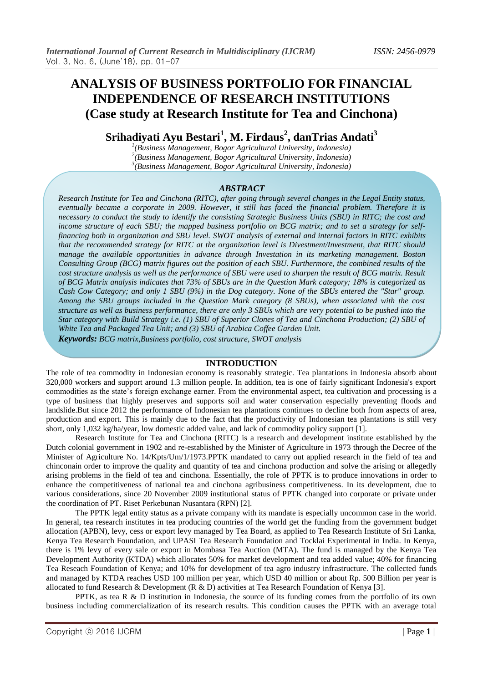# **ANALYSIS OF BUSINESS PORTFOLIO FOR FINANCIAL INDEPENDENCE OF RESEARCH INSTITUTIONS (Case study at Research Institute for Tea and Cinchona)**

**Srihadiyati Ayu Bestari<sup>1</sup> , M. Firdaus<sup>2</sup> , danTrias Andati<sup>3</sup>**

*1 (Business Management, Bogor Agricultural University, Indonesia) 2 (Business Management, Bogor Agricultural University, Indonesia) 3 (Business Management, Bogor Agricultural University, Indonesia)* 

#### *ABSTRACT*

*Research Institute for Tea and Cinchona (RITC), after going through several changes in the Legal Entity status, eventually became a corporate in 2009. However, it still has faced the financial problem. Therefore it is necessary to conduct the study to identify the consisting Strategic Business Units (SBU) in RITC; the cost and income structure of each SBU; the mapped business portfolio on BCG matrix; and to set a strategy for selffinancing both in organization and SBU level. SWOT analysis of external and internal factors in RITC exhibits that the recommended strategy for RITC at the organization level is Divestment/Investment, that RITC should manage the available opportunities in advance through Investation in its marketing management. Boston Consulting Group (BCG) matrix figures out the position of each SBU. Furthermore, the combined results of the cost structure analysis as well as the performance of SBU were used to sharpen the result of BCG matrix. Result of BCG Matrix analysis indicates that 73% of SBUs are in the Question Mark category; 18% is categorized as Cash Cow Category; and only 1 SBU (9%) in the Dog category. None of the SBUs entered the "Star" group. Among the SBU groups included in the Question Mark category (8 SBUs), when associated with the cost structure as well as business performance, there are only 3 SBUs which are very potential to be pushed into the Star category with Build Strategy i.e. (1) SBU of Superior Clones of Tea and Cinchona Production; (2) SBU of White Tea and Packaged Tea Unit; and (3) SBU of Arabica Coffee Garden Unit. Keywords: BCG matrix,Business portfolio, cost structure, SWOT analysis*

#### **INTRODUCTION**

The role of tea commodity in Indonesian economy is reasonably strategic. Tea plantations in Indonesia absorb about 320,000 workers and support around 1.3 million people. In addition, tea is one of fairly significant Indonesia's export commodities as the state's foreign exchange earner. From the environmental aspect, tea cultivation and processing is a type of business that highly preserves and supports soil and water conservation especially preventing floods and landslide.But since 2012 the performance of Indonesian tea plantations continues to decline both from aspects of area, production and export. This is mainly due to the fact that the productivity of Indonesian tea plantations is still very short, only 1,032 kg/ha/year, low domestic added value, and lack of commodity policy support [1].

Research Institute for Tea and Cinchona (RITC) is a research and development institute established by the Dutch colonial government in 1902 and re-established by the Minister of Agriculture in 1973 through the Decree of the Minister of Agriculture No. 14/Kpts/Um/1/1973.PPTK mandated to carry out applied research in the field of tea and chinconain order to improve the quality and quantity of tea and cinchona production and solve the arising or allegedly arising problems in the field of tea and cinchona. Essentially, the role of PPTK is to produce innovations in order to enhance the competitiveness of national tea and cinchona agribusiness competitiveness. In its development, due to various considerations, since 20 November 2009 institutional status of PPTK changed into corporate or private under the coordination of PT. Riset Perkebunan Nusantara (RPN) [2].

The PPTK legal entity status as a private company with its mandate is especially uncommon case in the world. In general, tea research institutes in tea producing countries of the world get the funding from the government budget allocation (APBN), levy, cess or export levy managed by Tea Board, as applied to Tea Research Institute of Sri Lanka, Kenya Tea Research Foundation, and UPASI Tea Research Foundation and Tocklai Experimental in India. In Kenya, there is 1% levy of every sale or export in Mombasa Tea Auction (MTA). The fund is managed by the Kenya Tea Development Authority (KTDA) which allocates 50% for market development and tea added value; 40% for financing Tea Reseach Foundation of Kenya; and 10% for development of tea agro industry infrastructure. The collected funds and managed by KTDA reaches USD 100 million per year, which USD 40 million or about Rp. 500 Billion per year is allocated to fund Research & Development (R & D) activities at Tea Research Foundation of Kenya [3].

PPTK, as tea R  $\&$  D institution in Indonesia, the source of its funding comes from the portfolio of its own business including commercialization of its research results. This condition causes the PPTK with an average total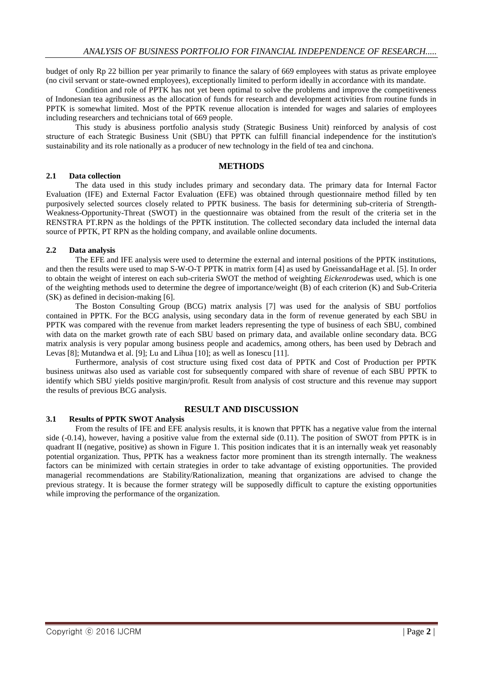budget of only Rp 22 billion per year primarily to finance the salary of 669 employees with status as private employee (no civil servant or state-owned employees), exceptionally limited to perform ideally in accordance with its mandate.

Condition and role of PPTK has not yet been optimal to solve the problems and improve the competitiveness of Indonesian tea agribusiness as the allocation of funds for research and development activities from routine funds in PPTK is somewhat limited. Most of the PPTK revenue allocation is intended for wages and salaries of employees including researchers and technicians total of 669 people.

This study is abusiness portfolio analysis study (Strategic Business Unit) reinforced by analysis of cost structure of each Strategic Business Unit (SBU) that PPTK can fulfill financial independence for the institution's sustainability and its role nationally as a producer of new technology in the field of tea and cinchona.

### **METHODS**

#### **2.1 Data collection**

The data used in this study includes primary and secondary data. The primary data for Internal Factor Evaluation (IFE) and External Factor Evaluation (EFE) was obtained through questionnaire method filled by ten purposively selected sources closely related to PPTK business. The basis for determining sub-criteria of Strength-Weakness-Opportunity-Threat (SWOT) in the questionnaire was obtained from the result of the criteria set in the RENSTRA PT.RPN as the holdings of the PPTK institution. The collected secondary data included the internal data source of PPTK, PT RPN as the holding company, and available online documents.

## **2.2 Data analysis**

The EFE and IFE analysis were used to determine the external and internal positions of the PPTK institutions, and then the results were used to map S-W-O-T PPTK in matrix form [4] as used by GneissandaHage et al. [5]. In order to obtain the weight of interest on each sub-criteria SWOT the method of weighting *Eickenrode*was used, which is one of the weighting methods used to determine the degree of importance/weight (B) of each criterion (K) and Sub-Criteria (SK) as defined in decision-making [6].

The Boston Consulting Group (BCG) matrix analysis [7] was used for the analysis of SBU portfolios contained in PPTK. For the BCG analysis, using secondary data in the form of revenue generated by each SBU in PPTK was compared with the revenue from market leaders representing the type of business of each SBU, combined with data on the market growth rate of each SBU based on primary data, and available online secondary data. BCG matrix analysis is very popular among business people and academics, among others, has been used by Debrach and Levas [8]; Mutandwa et al. [9]; Lu and Lihua [10]; as well as Ionescu [11].

Furthermore, analysis of cost structure using fixed cost data of PPTK and Cost of Production per PPTK business unitwas also used as variable cost for subsequently compared with share of revenue of each SBU PPTK to identify which SBU yields positive margin/profit. Result from analysis of cost structure and this revenue may support the results of previous BCG analysis.

# **3.1 Results of PPTK SWOT Analysis**

# **RESULT AND DISCUSSION**

From the results of IFE and EFE analysis results, it is known that PPTK has a negative value from the internal side (-0.14), however, having a positive value from the external side (0.11). The position of SWOT from PPTK is in quadrant II (negative, positive) as shown in Figure 1. This position indicates that it is an internally weak yet reasonably potential organization. Thus, PPTK has a weakness factor more prominent than its strength internally. The weakness factors can be minimized with certain strategies in order to take advantage of existing opportunities. The provided managerial recommendations are Stability/Rationalization, meaning that organizations are advised to change the previous strategy. It is because the former strategy will be supposedly difficult to capture the existing opportunities while improving the performance of the organization.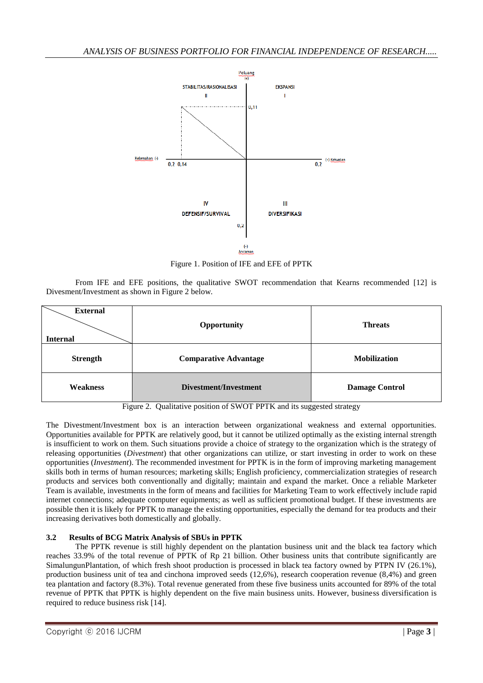

Figure 1. Position of IFE and EFE of PPTK

From IFE and EFE positions, the qualitative SWOT recommendation that Kearns recommended [12] is Divesment/Investment as shown in Figure 2 below.

| <b>External</b> | Opportunity                  | <b>Threats</b>        |  |
|-----------------|------------------------------|-----------------------|--|
| <b>Internal</b> |                              |                       |  |
| <b>Strength</b> | <b>Comparative Advantage</b> | <b>Mobilization</b>   |  |
| <b>Weakness</b> | Divestment/Investment        | <b>Damage Control</b> |  |

Figure 2. Qualitative position of SWOT PPTK and its suggested strategy

The Divestment/Investment box is an interaction between organizational weakness and external opportunities. Opportunities available for PPTK are relatively good, but it cannot be utilized optimally as the existing internal strength is insufficient to work on them. Such situations provide a choice of strategy to the organization which is the strategy of releasing opportunities (*Divestment*) that other organizations can utilize, or start investing in order to work on these opportunities (*Investment*). The recommended investment for PPTK is in the form of improving marketing management skills both in terms of human resources; marketing skills; English proficiency, commercialization strategies of research products and services both conventionally and digitally; maintain and expand the market. Once a reliable Marketer Team is available, investments in the form of means and facilities for Marketing Team to work effectively include rapid internet connections; adequate computer equipments; as well as sufficient promotional budget. If these investments are possible then it is likely for PPTK to manage the existing opportunities, especially the demand for tea products and their increasing derivatives both domestically and globally.

# **3.2 Results of BCG Matrix Analysis of SBUs in PPTK**

The PPTK revenue is still highly dependent on the plantation business unit and the black tea factory which reaches 33.9% of the total revenue of PPTK of Rp 21 billion. Other business units that contribute significantly are SimalungunPlantation, of which fresh shoot production is processed in black tea factory owned by PTPN IV (26.1%), production business unit of tea and cinchona improved seeds (12,6%), research cooperation revenue (8,4%) and green tea plantation and factory (8.3%). Total revenue generated from these five business units accounted for 89% of the total revenue of PPTK that PPTK is highly dependent on the five main business units. However, business diversification is required to reduce business risk [14].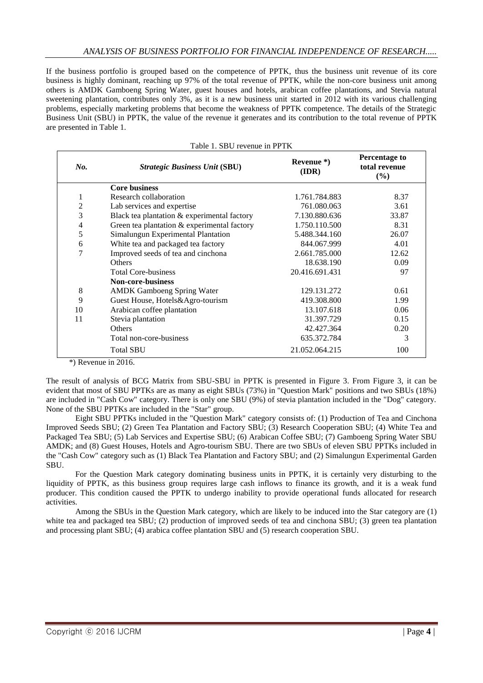If the business portfolio is grouped based on the competence of PPTK, thus the business unit revenue of its core business is highly dominant, reaching up 97% of the total revenue of PPTK, while the non-core business unit among others is AMDK Gamboeng Spring Water, guest houses and hotels, arabican coffee plantations, and Stevia natural sweetening plantation, contributes only 3%, as it is a new business unit started in 2012 with its various challenging problems, especially marketing problems that become the weakness of PPTK competence. The details of the Strategic Business Unit (SBU) in PPTK, the value of the revenue it generates and its contribution to the total revenue of PPTK are presented in Table 1.

| No.            | <b>Strategic Business Unit (SBU)</b>        | Revenue $*$ )<br>(IDR) | <b>Percentage to</b><br>total revenue<br>(%) |
|----------------|---------------------------------------------|------------------------|----------------------------------------------|
|                | <b>Core business</b>                        |                        |                                              |
| 1              | Research collaboration                      | 1.761.784.883          | 8.37                                         |
| $\overline{c}$ | Lab services and expertise                  | 761.080.063            | 3.61                                         |
| 3              | Black tea plantation & experimental factory | 7.130.880.636          | 33.87                                        |
| $\overline{4}$ | Green tea plantation & experimental factory | 1.750.110.500          | 8.31                                         |
| 5              | Simalungun Experimental Plantation          | 5.488.344.160          | 26.07                                        |
| 6              | White tea and packaged tea factory          | 844.067.999            | 4.01                                         |
| $\overline{7}$ | Improved seeds of tea and cinchona          | 2.661.785.000          | 12.62                                        |
|                | <b>Others</b>                               | 18.638.190             | 0.09                                         |
|                | <b>Total Core-business</b>                  | 20.416.691.431         | 97                                           |
|                | <b>Non-core-business</b>                    |                        |                                              |
| 8              | <b>AMDK Gamboeng Spring Water</b>           | 129.131.272            | 0.61                                         |
| 9              | Guest House, Hotels&Agro-tourism            | 419.308.800            | 1.99                                         |
| 10             | Arabican coffee plantation                  | 13.107.618             | 0.06                                         |
| 11             | Stevia plantation                           | 31.397.729             | 0.15                                         |
|                | <b>Others</b>                               | 42.427.364             | 0.20                                         |
|                | Total non-core-business                     | 635.372.784            | 3                                            |
|                | <b>Total SBU</b>                            | 21.052.064.215         | 100                                          |

| Table 1. SBU revenue in PPTK |
|------------------------------|
|------------------------------|

\*) Revenue in 2016.

The result of analysis of BCG Matrix from SBU-SBU in PPTK is presented in Figure 3. From Figure 3, it can be evident that most of SBU PPTKs are as many as eight SBUs (73%) in "Question Mark" positions and two SBUs (18%) are included in "Cash Cow" category. There is only one SBU (9%) of stevia plantation included in the "Dog" category. None of the SBU PPTKs are included in the "Star" group.

Eight SBU PPTKs included in the "Question Mark" category consists of: (1) Production of Tea and Cinchona Improved Seeds SBU; (2) Green Tea Plantation and Factory SBU; (3) Research Cooperation SBU; (4) White Tea and Packaged Tea SBU; (5) Lab Services and Expertise SBU; (6) Arabican Coffee SBU; (7) Gamboeng Spring Water SBU AMDK; and (8) Guest Houses, Hotels and Agro-tourism SBU. There are two SBUs of eleven SBU PPTKs included in the "Cash Cow" category such as (1) Black Tea Plantation and Factory SBU; and (2) Simalungun Experimental Garden SBU.

For the Question Mark category dominating business units in PPTK, it is certainly very disturbing to the liquidity of PPTK, as this business group requires large cash inflows to finance its growth, and it is a weak fund producer. This condition caused the PPTK to undergo inability to provide operational funds allocated for research activities.

Among the SBUs in the Question Mark category, which are likely to be induced into the Star category are (1) white tea and packaged tea SBU; (2) production of improved seeds of tea and cinchona SBU; (3) green tea plantation and processing plant SBU; (4) arabica coffee plantation SBU and (5) research cooperation SBU.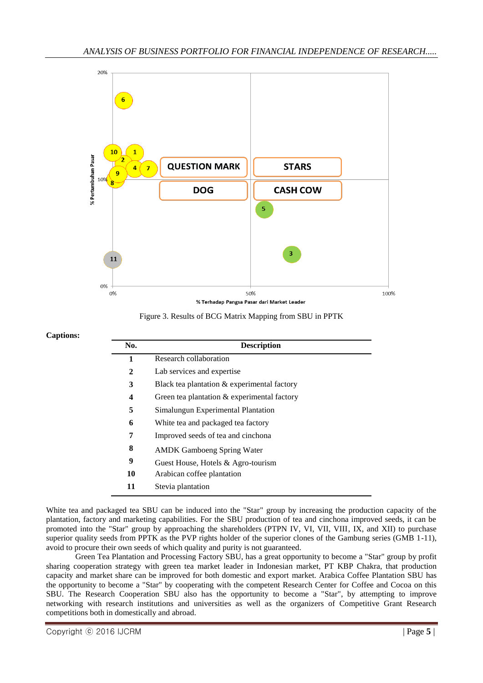

Figure 3. Results of BCG Matrix Mapping from SBU in PPTK

## **Captions:**

| No. | <b>Description</b>                             |
|-----|------------------------------------------------|
| 1   | Research collaboration                         |
| 2   | Lab services and expertise                     |
| 3   | Black tea plantation $&$ experimental factory  |
| 4   | Green tea plantation $\&$ experimental factory |
| 5   | Simalungun Experimental Plantation             |
| 6   | White tea and packaged tea factory             |
| 7   | Improved seeds of tea and cinchona             |
| 8   | <b>AMDK</b> Gamboeng Spring Water              |
| 9   | Guest House, Hotels & Agro-tourism             |
| 10  | Arabican coffee plantation                     |
| 11  | Stevia plantation                              |

White tea and packaged tea SBU can be induced into the "Star" group by increasing the production capacity of the plantation, factory and marketing capabilities. For the SBU production of tea and cinchona improved seeds, it can be promoted into the "Star" group by approaching the shareholders (PTPN IV, VI, VII, VIII, IX, and XII) to purchase superior quality seeds from PPTK as the PVP rights holder of the superior clones of the Gambung series (GMB 1-11), avoid to procure their own seeds of which quality and purity is not guaranteed.

Green Tea Plantation and Processing Factory SBU, has a great opportunity to become a "Star" group by profit sharing cooperation strategy with green tea market leader in Indonesian market, PT KBP Chakra, that production capacity and market share can be improved for both domestic and export market. Arabica Coffee Plantation SBU has the opportunity to become a "Star" by cooperating with the competent Research Center for Coffee and Cocoa on this SBU. The Research Cooperation SBU also has the opportunity to become a "Star", by attempting to improve networking with research institutions and universities as well as the organizers of Competitive Grant Research competitions both in domestically and abroad.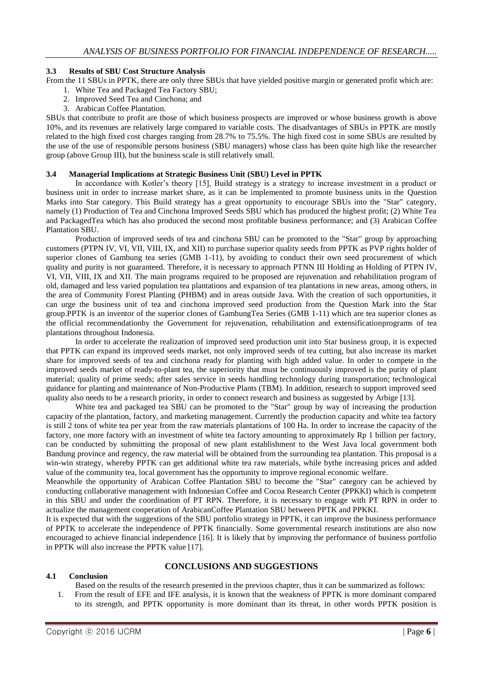## **3.3 Results of SBU Cost Structure Analysis**

- From the 11 SBUs in PPTK, there are only three SBUs that have yielded positive margin or generated profit which are:
	- 1. White Tea and Packaged Tea Factory SBU;
	- 2. Improved Seed Tea and Cinchona; and
	- 3. Arabican Coffee Plantation.

SBUs that contribute to profit are those of which business prospects are improved or whose business growth is above 10%, and its revenues are relatively large compared to variable costs. The disadvantages of SBUs in PPTK are mostly related to the high fixed cost charges ranging from 28.7% to 75.5%. The high fixed cost in some SBUs are resulted by the use of the use of responsible persons business (SBU managers) whose class has been quite high like the researcher group (above Group III), but the business scale is still relatively small.

## **3.4 Managerial Implications at Strategic Business Unit (SBU) Level in PPTK**

In accordance with Kotler's theory [15], Build strategy is a strategy to increase investment in a product or business unit in order to increase market share, as it can be implemented to promote business units in the Question Marks into Star category. This Build strategy has a great opportunity to encourage SBUs into the "Star" category, namely (1) Production of Tea and Cinchona Improved Seeds SBU which has produced the highest profit; (2) White Tea and PackagedTea which has also produced the second most profitable business performance; and (3) Arabican Coffee Plantation SBU.

Production of improved seeds of tea and cinchona SBU can be promoted to the "Star" group by approaching customers (PTPN IV, VI, VII, VIII, IX, and XII) to purchase superior quality seeds from PPTK as PVP rights holder of superior clones of Gambung tea series (GMB 1-11), by avoiding to conduct their own seed procurement of which quality and purity is not guaranteed. Therefore, it is necessary to approach PTNN III Holding as Holding of PTPN IV, VI, VII, VIII, IX and XII. The main programs required to be proposed are rejuvenation and rehabilitation program of old, damaged and less varied population tea plantations and expansion of tea plantations in new areas, among others, in the area of Community Forest Planting (PHBM) and in areas outside Java. With the creation of such opportunities, it can urge the business unit of tea and cinchona improved seed production from the Question Mark into the Star group.PPTK is an inventor of the superior clones of GambungTea Series (GMB 1-11) which are tea superior clones as the official recommendationby the Government for rejuvenation, rehabilitation and extensificationprograms of tea plantations throughout Indonesia.

In order to accelerate the realization of improved seed production unit into Star business group, it is expected that PPTK can expand its improved seeds market, not only improved seeds of tea cutting, but also increase its market share for improved seeds of tea and cinchona ready for planting with high added value. In order to compete in the improved seeds market of ready-to-plant tea, the superiority that must be continuously improved is the purity of plant material; quality of prime seeds; after sales service in seeds handling technology during transportation; technological guidance for planting and maintenance of Non-Productive Plants (TBM). In addition, research to support improved seed quality also needs to be a research priority, in order to connect research and business as suggested by Arbige [13].

White tea and packaged tea SBU can be promoted to the "Star" group by way of increasing the production capacity of the plantation, factory, and marketing management. Currently the production capacity and white tea factory is still 2 tons of white tea per year from the raw materials plantations of 100 Ha. In order to increase the capacity of the factory, one more factory with an investment of white tea factory amounting to approximately Rp 1 billion per factory, can be conducted by submitting the proposal of new plant establishment to the West Java local government both Bandung province and regency, the raw material will be obtained from the surrounding tea plantation. This proposal is a win-win strategy, whereby PPTK can get additional white tea raw materials, while bythe increasing prices and added value of the community tea, local government has the opportunity to improve regional economic welfare.

Meanwhile the opportunity of Arabican Coffee Plantation SBU to become the "Star" category can be achieved by conducting collaborative management with Indonesian Coffee and Cocoa Research Center (PPKKI) which is competent in this SBU and under the coordination of PT RPN. Therefore, it is necessary to engage with PT RPN in order to actualize the management cooperation of ArabicanCoffee Plantation SBU between PPTK and PPKKI.

It is expected that with the suggestions of the SBU portfolio strategy in PPTK, it can improve the business performance of PPTK to accelerate the independence of PPTK financially. Some governmental research institutions are also now encouraged to achieve financial independence [16]. It is likely that by improving the performance of business portfolio in PPTK will also increase the PPTK value [17].

# **CONCLUSIONS AND SUGGESTIONS**

# **4.1 Conclusion**

- Based on the results of the research presented in the previous chapter, thus it can be summarized as follows:
- 1. From the result of EFE and IFE analysis, it is known that the weakness of PPTK is more dominant compared to its strength, and PPTK opportunity is more dominant than its threat, in other words PPTK position is